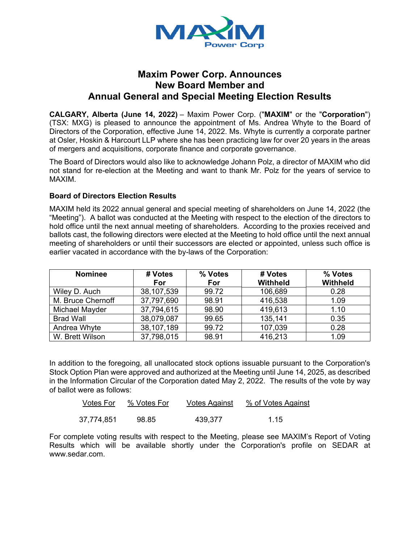

## **Maxim Power Corp. Announces New Board Member and Annual General and Special Meeting Election Results**

**CALGARY, Alberta (June 14, 2022)** – Maxim Power Corp. ("**MAXIM**" or the "**Corporation**") (TSX: MXG) is pleased to announce the appointment of Ms. Andrea Whyte to the Board of Directors of the Corporation, effective June 14, 2022. Ms. Whyte is currently a corporate partner at Osler, Hoskin & Harcourt LLP where she has been practicing law for over 20 years in the areas of mergers and acquisitions, corporate finance and corporate governance.

The Board of Directors would also like to acknowledge Johann Polz, a director of MAXIM who did not stand for re-election at the Meeting and want to thank Mr. Polz for the years of service to MAXIM.

## **Board of Directors Election Results**

MAXIM held its 2022 annual general and special meeting of shareholders on June 14, 2022 (the "Meeting"). A ballot was conducted at the Meeting with respect to the election of the directors to hold office until the next annual meeting of shareholders. According to the proxies received and ballots cast, the following directors were elected at the Meeting to hold office until the next annual meeting of shareholders or until their successors are elected or appointed, unless such office is earlier vacated in accordance with the by-laws of the Corporation:

| <b>Nominee</b>    | # Votes<br>For | % Votes<br>For | # Votes<br><b>Withheld</b> | % Votes<br><b>Withheld</b> |
|-------------------|----------------|----------------|----------------------------|----------------------------|
| Wiley D. Auch     | 38,107,539     | 99.72          | 106,689                    | 0.28                       |
| M. Bruce Chernoff | 37,797,690     | 98.91          | 416,538                    | 1.09                       |
| Michael Mayder    | 37,794,615     | 98.90          | 419,613                    | 1.10                       |
| <b>Brad Wall</b>  | 38,079,087     | 99.65          | 135,141                    | 0.35                       |
| Andrea Whyte      | 38,107,189     | 99.72          | 107,039                    | 0.28                       |
| W. Brett Wilson   | 37,798,015     | 98.91          | 416,213                    | 1.09                       |

In addition to the foregoing, all unallocated stock options issuable pursuant to the Corporation's Stock Option Plan were approved and authorized at the Meeting until June 14, 2025, as described in the Information Circular of the Corporation dated May 2, 2022. The results of the vote by way of ballot were as follows:

| Votes For  | % Votes For | <b>Votes Against</b> | % of Votes Against |
|------------|-------------|----------------------|--------------------|
| 37,774,851 | 98.85       | 439,377              | 1.15               |

For complete voting results with respect to the Meeting, please see MAXIM's Report of Voting Results which will be available shortly under the Corporation's profile on SEDAR at www.sedar.com.